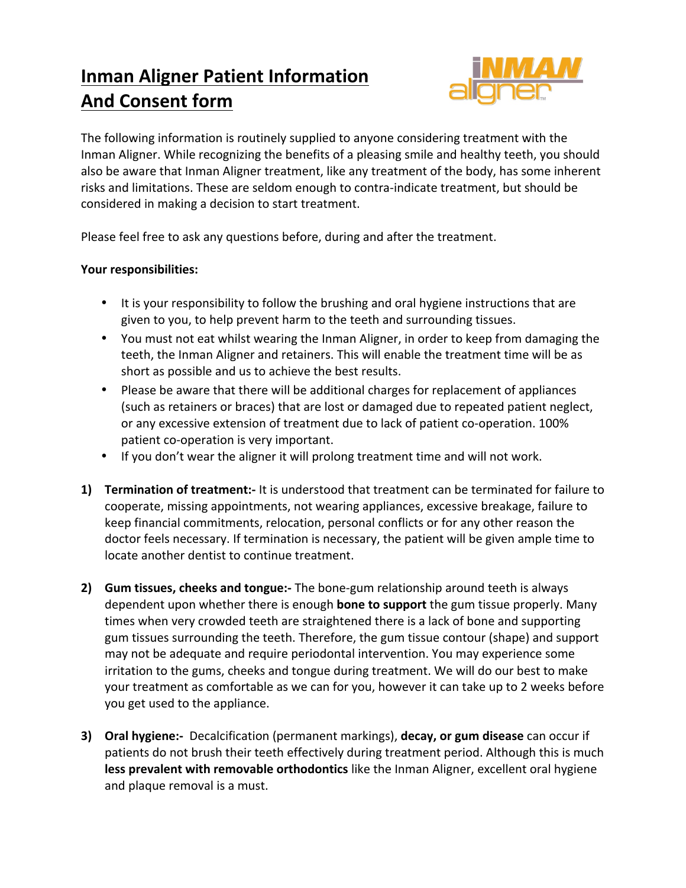## **Inman Aligner Patient Information And Consent form**



The following information is routinely supplied to anyone considering treatment with the Inman Aligner. While recognizing the benefits of a pleasing smile and healthy teeth, you should also be aware that Inman Aligner treatment, like any treatment of the body, has some inherent risks and limitations. These are seldom enough to contra-indicate treatment, but should be considered in making a decision to start treatment.

Please feel free to ask any questions before, during and after the treatment.

## Your responsibilities:

- It is your responsibility to follow the brushing and oral hygiene instructions that are given to you, to help prevent harm to the teeth and surrounding tissues.
- You must not eat whilst wearing the Inman Aligner, in order to keep from damaging the teeth, the Inman Aligner and retainers. This will enable the treatment time will be as short as possible and us to achieve the best results.
- Please be aware that there will be additional charges for replacement of appliances (such as retainers or braces) that are lost or damaged due to repeated patient neglect, or any excessive extension of treatment due to lack of patient co-operation. 100% patient co-operation is very important.
- If you don't wear the aligner it will prolong treatment time and will not work.
- **1) Termination of treatment:-** It is understood that treatment can be terminated for failure to cooperate, missing appointments, not wearing appliances, excessive breakage, failure to keep financial commitments, relocation, personal conflicts or for any other reason the doctor feels necessary. If termination is necessary, the patient will be given ample time to locate another dentist to continue treatment.
- **2) Gum tissues, cheeks and tongue:-** The bone-gum relationship around teeth is always dependent upon whether there is enough **bone to support** the gum tissue properly. Many times when very crowded teeth are straightened there is a lack of bone and supporting gum tissues surrounding the teeth. Therefore, the gum tissue contour (shape) and support may not be adequate and require periodontal intervention. You may experience some irritation to the gums, cheeks and tongue during treatment. We will do our best to make your treatment as comfortable as we can for you, however it can take up to 2 weeks before you get used to the appliance.
- **3) Oral hygiene:-** Decalcification (permanent markings), **decay, or gum disease** can occur if patients do not brush their teeth effectively during treatment period. Although this is much **less prevalent with removable orthodontics** like the Inman Aligner, excellent oral hygiene and plaque removal is a must.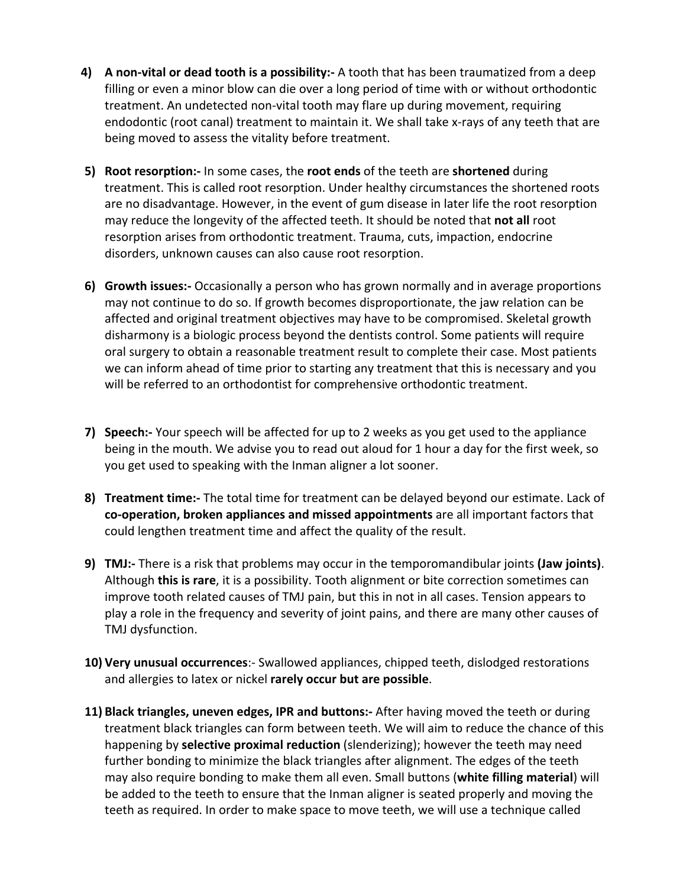- **4) A** non-vital or dead tooth is a possibility:- A tooth that has been traumatized from a deep filling or even a minor blow can die over a long period of time with or without orthodontic treatment. An undetected non-vital tooth may flare up during movement, requiring endodontic (root canal) treatment to maintain it. We shall take x-rays of any teeth that are being moved to assess the vitality before treatment.
- **5)** Root resorption:- In some cases, the root ends of the teeth are shortened during treatment. This is called root resorption. Under healthy circumstances the shortened roots are no disadvantage. However, in the event of gum disease in later life the root resorption may reduce the longevity of the affected teeth. It should be noted that **not all** root resorption arises from orthodontic treatment. Trauma, cuts, impaction, endocrine disorders, unknown causes can also cause root resorption.
- **6) Growth issues:-** Occasionally a person who has grown normally and in average proportions may not continue to do so. If growth becomes disproportionate, the jaw relation can be affected and original treatment objectives may have to be compromised. Skeletal growth disharmony is a biologic process beyond the dentists control. Some patients will require oral surgery to obtain a reasonable treatment result to complete their case. Most patients we can inform ahead of time prior to starting any treatment that this is necessary and you will be referred to an orthodontist for comprehensive orthodontic treatment.
- **7)** Speech:- Your speech will be affected for up to 2 weeks as you get used to the appliance being in the mouth. We advise you to read out aloud for 1 hour a day for the first week, so you get used to speaking with the Inman aligner a lot sooner.
- **8) Treatment time:-** The total time for treatment can be delayed beyond our estimate. Lack of **co-operation, broken appliances and missed appointments** are all important factors that could lengthen treatment time and affect the quality of the result.
- **9) TMJ:** There is a risk that problems may occur in the temporomandibular joints (Jaw joints). Although **this is rare**, it is a possibility. Tooth alignment or bite correction sometimes can improve tooth related causes of TMJ pain, but this in not in all cases. Tension appears to play a role in the frequency and severity of joint pains, and there are many other causes of TMJ dysfunction.
- **10) Very unusual occurrences**:- Swallowed appliances, chipped teeth, dislodged restorations and allergies to latex or nickel rarely occur but are possible.
- **11) Black triangles, uneven edges, IPR and buttons:-** After having moved the teeth or during treatment black triangles can form between teeth. We will aim to reduce the chance of this happening by **selective proximal reduction** (slenderizing); however the teeth may need further bonding to minimize the black triangles after alignment. The edges of the teeth may also require bonding to make them all even. Small buttons (**white filling material**) will be added to the teeth to ensure that the Inman aligner is seated properly and moving the teeth as required. In order to make space to move teeth, we will use a technique called